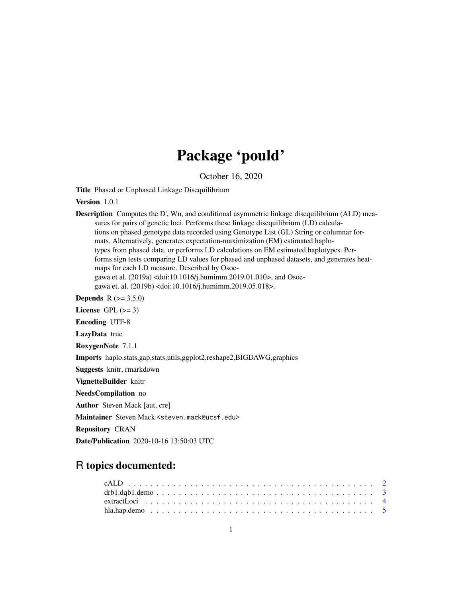# Package 'pould'

October 16, 2020

Title Phased or Unphased Linkage Disequilibrium

Version 1.0.1

Description Computes the D', Wn, and conditional asymmetric linkage disequilibrium (ALD) measures for pairs of genetic loci. Performs these linkage disequilibrium (LD) calculations on phased genotype data recorded using Genotype List (GL) String or columnar formats. Alternatively, generates expectation-maximization (EM) estimated haplotypes from phased data, or performs LD calculations on EM estimated haplotypes. Performs sign tests comparing LD values for phased and unphased datasets, and generates heatmaps for each LD measure. Described by Osoegawa et al. (2019a) <doi:10.1016/j.humimm.2019.01.010>, and Osoegawa et. al. (2019b) <doi:10.1016/j.humimm.2019.05.018>. **Depends** R  $(>= 3.5.0)$ License GPL  $(>= 3)$ Encoding UTF-8 LazyData true

RoxygenNote 7.1.1

Imports haplo.stats,gap,stats,utils,ggplot2,reshape2,BIGDAWG,graphics

Suggests knitr, rmarkdown

VignetteBuilder knitr

NeedsCompilation no

Author Steven Mack [aut, cre]

Maintainer Steven Mack <steven.mack@ucsf.edu>

Repository CRAN

Date/Publication 2020-10-16 13:50:03 UTC

# R topics documented: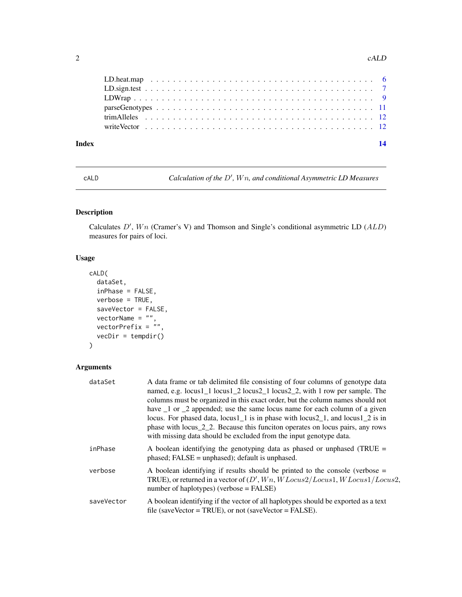#### <span id="page-1-0"></span>2 call  $c$  call  $c$  call  $c$  and  $c$  and  $c$  and  $c$  and  $c$  and  $c$  and  $c$  and  $c$  and  $c$  and  $c$  and  $c$  and  $c$  and  $c$  and  $c$  and  $c$  and  $c$  and  $c$  and  $c$  and  $c$  and  $c$  and  $c$  and  $c$  and  $c$  and  $c$  and  $c$  a

| Index | 14 |
|-------|----|
|       |    |
|       |    |
|       |    |
|       |    |
|       |    |
|       |    |
|       |    |

cALD Calculation of the D', Wn, and conditional Asymmetric LD Measures

# Description

Calculates  $D'$ ,  $Wn$  (Cramer's V) and Thomson and Single's conditional asymmetric LD ( $ALD$ ) measures for pairs of loci.

#### Usage

```
cALD(
  dataSet,
 inPhase = FALSE,
 verbose = TRUE,
  saveVector = FALSE,
  vectorName = "",vectorPrefix = "",
  vecDir = tempdir()
```

```
)
```
# Arguments

| dataSet    | A data frame or tab delimited file consisting of four columns of genotype data<br>named, e.g. locus1_1 locus1_2 locus2_1 locus2_2, with 1 row per sample. The<br>columns must be organized in this exact order, but the column names should not<br>have 1 or 2 appended; use the same locus name for each column of a given<br>locus. For phased data, locus1 $1$ is in phase with locus2 $1$ , and locus1 $2$ is in<br>phase with locus $2\frac{1}{2}$ . Because this funciton operates on locus pairs, any rows<br>with missing data should be excluded from the input genotype data. |
|------------|-----------------------------------------------------------------------------------------------------------------------------------------------------------------------------------------------------------------------------------------------------------------------------------------------------------------------------------------------------------------------------------------------------------------------------------------------------------------------------------------------------------------------------------------------------------------------------------------|
| inPhase    | A boolean identifying the genotyping data as phased or unphased (TRUE $=$<br>$phased$ ; FALSE = unphased); default is unphased.                                                                                                                                                                                                                                                                                                                                                                                                                                                         |
| verbose    | A boolean identifying if results should be printed to the console (verbose $=$<br>TRUE), or returned in a vector of $(D', Wn, WLocus2/Locus1, WLocus1/Locus2,$<br>number of haplotypes) (verbose $=$ FALSE)                                                                                                                                                                                                                                                                                                                                                                             |
| saveVector | A boolean identifying if the vector of all haplotypes should be exported as a text<br>file (saveVector = TRUE), or not (saveVector = FALSE).                                                                                                                                                                                                                                                                                                                                                                                                                                            |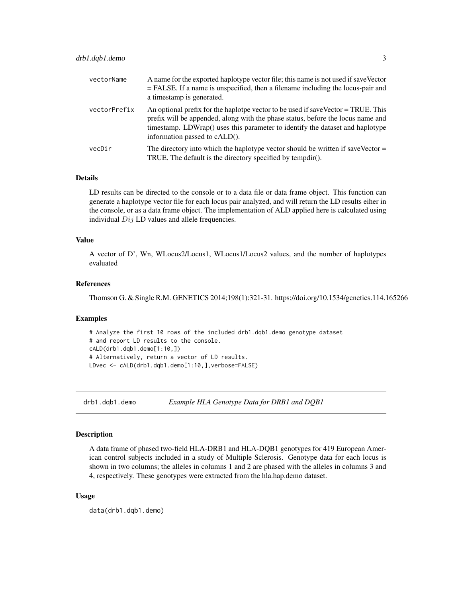<span id="page-2-0"></span>

| vectorName   | A name for the exported haplotype vector file; this name is not used if saveVector<br>$=$ FALSE. If a name is unspecified, then a filename including the locus-pair and<br>a timestamp is generated.                                                                                  |
|--------------|---------------------------------------------------------------------------------------------------------------------------------------------------------------------------------------------------------------------------------------------------------------------------------------|
| vectorPrefix | An optional prefix for the haplotpe vector to be used if saveVector = TRUE. This<br>prefix will be appended, along with the phase status, before the locus name and<br>timestamp. LDWrap() uses this parameter to identify the dataset and haplotype<br>information passed to cALD(). |
| vecDir       | The directory into which the haplotype vector should be written if saveVector $=$<br>TRUE. The default is the directory specified by tempdir().                                                                                                                                       |

#### Details

LD results can be directed to the console or to a data file or data frame object. This function can generate a haplotype vector file for each locus pair analyzed, and will return the LD results eiher in the console, or as a data frame object. The implementation of ALD applied here is calculated using individual  $Dij$  LD values and allele frequencies.

#### Value

A vector of D', Wn, WLocus2/Locus1, WLocus1/Locus2 values, and the number of haplotypes evaluated

#### References

Thomson G. & Single R.M. GENETICS 2014;198(1):321-31. https://doi.org/10.1534/genetics.114.165266

#### Examples

# Analyze the first 10 rows of the included drb1.dqb1.demo genotype dataset # and report LD results to the console. cALD(drb1.dqb1.demo[1:10,]) # Alternatively, return a vector of LD results. LDvec <- cALD(drb1.dqb1.demo[1:10,],verbose=FALSE)

drb1.dqb1.demo *Example HLA Genotype Data for DRB1 and DQB1*

#### Description

A data frame of phased two-field HLA-DRB1 and HLA-DQB1 genotypes for 419 European American control subjects included in a study of Multiple Sclerosis. Genotype data for each locus is shown in two columns; the alleles in columns 1 and 2 are phased with the alleles in columns 3 and 4, respectively. These genotypes were extracted from the hla.hap.demo dataset.

#### Usage

data(drb1.dqb1.demo)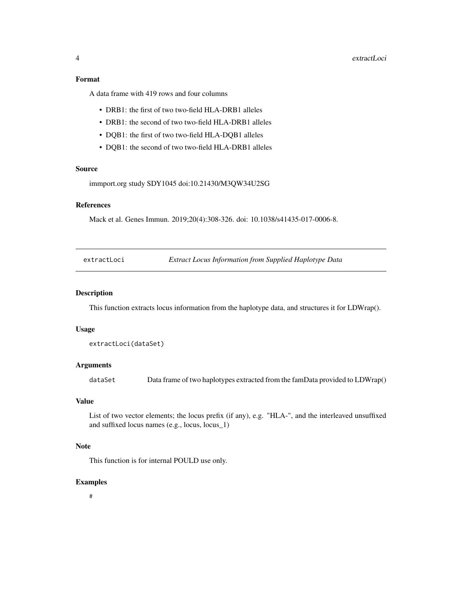<span id="page-3-0"></span>A data frame with 419 rows and four columns

- DRB1: the first of two two-field HLA-DRB1 alleles
- DRB1: the second of two two-field HLA-DRB1 alleles
- DQB1: the first of two two-field HLA-DQB1 alleles
- DQB1: the second of two two-field HLA-DRB1 alleles

#### Source

immport.org study SDY1045 doi:10.21430/M3QW34U2SG

#### References

Mack et al. Genes Immun. 2019;20(4):308-326. doi: 10.1038/s41435-017-0006-8.

extractLoci *Extract Locus Information from Supplied Haplotype Data*

#### Description

This function extracts locus information from the haplotype data, and structures it for LDWrap().

#### Usage

extractLoci(dataSet)

### Arguments

dataSet Data frame of two haplotypes extracted from the famData provided to LDWrap()

#### Value

List of two vector elements; the locus prefix (if any), e.g. "HLA-", and the interleaved unsuffixed and suffixed locus names (e.g., locus, locus\_1)

### Note

This function is for internal POULD use only.

#### Examples

#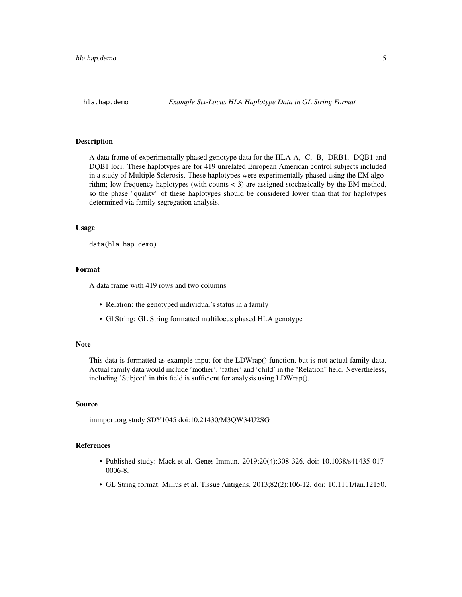<span id="page-4-0"></span>

A data frame of experimentally phased genotype data for the HLA-A, -C, -B, -DRB1, -DQB1 and DQB1 loci. These haplotypes are for 419 unrelated European American control subjects included in a study of Multiple Sclerosis. These haplotypes were experimentally phased using the EM algorithm; low-frequency haplotypes (with counts  $\lt 3$ ) are assigned stochasically by the EM method, so the phase "quality" of these haplotypes should be considered lower than that for haplotypes determined via family segregation analysis.

#### Usage

data(hla.hap.demo)

#### Format

A data frame with 419 rows and two columns

- Relation: the genotyped individual's status in a family
- Gl String: GL String formatted multilocus phased HLA genotype

#### **Note**

This data is formatted as example input for the LDWrap() function, but is not actual family data. Actual family data would include 'mother', 'father' and 'child' in the "Relation" field. Nevertheless, including 'Subject' in this field is sufficient for analysis using LDWrap().

#### Source

immport.org study SDY1045 doi:10.21430/M3QW34U2SG

#### References

- Published study: Mack et al. Genes Immun. 2019;20(4):308-326. doi: 10.1038/s41435-017- 0006-8.
- GL String format: Milius et al. Tissue Antigens. 2013;82(2):106-12. doi: 10.1111/tan.12150.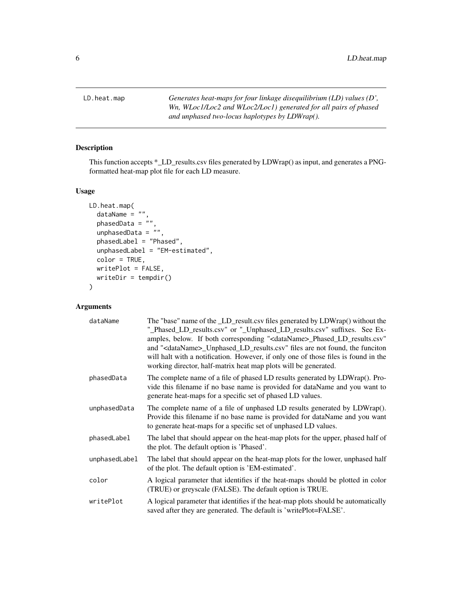<span id="page-5-0"></span>LD.heat.map *Generates heat-maps for four linkage disequilibrium (LD) values (D', Wn, WLoc1/Loc2 and WLoc2/Loc1) generated for all pairs of phased and unphased two-locus haplotypes by LDWrap().*

#### Description

This function accepts \*\_LD\_results.csv files generated by LDWrap() as input, and generates a PNGformatted heat-map plot file for each LD measure.

#### Usage

```
LD.heat.map(
  dataName = "phasedData = "unphasedData = ",
  phasedLabel = "Phased",
  unphasedLabel = "EM-estimated",
  color = TRUE,
  writePlot = FALSE,
  writeDir = tempdir()
\mathcal{L}
```
### Arguments

| dataName      | The "base" name of the LD_result.csv files generated by LDWrap() without the<br>"_Phased_LD_results.csv" or "_Unphased_LD_results.csv" suffixes. See Ex-<br>amples, below. If both corresponding " <dataname>_Phased_LD_results.csv"<br/>and "<dataname>_Unphased_LD_results.csv" files are not found, the funciton<br/>will halt with a notification. However, if only one of those files is found in the<br/>working director, half-matrix heat map plots will be generated.</dataname></dataname> |
|---------------|------------------------------------------------------------------------------------------------------------------------------------------------------------------------------------------------------------------------------------------------------------------------------------------------------------------------------------------------------------------------------------------------------------------------------------------------------------------------------------------------------|
| phasedData    | The complete name of a file of phased LD results generated by LDWrap(). Pro-<br>vide this filename if no base name is provided for dataName and you want to<br>generate heat-maps for a specific set of phased LD values.                                                                                                                                                                                                                                                                            |
| unphasedData  | The complete name of a file of unphased LD results generated by LDWrap().<br>Provide this filename if no base name is provided for dataName and you want<br>to generate heat-maps for a specific set of unphased LD values.                                                                                                                                                                                                                                                                          |
| phasedLabel   | The label that should appear on the heat-map plots for the upper, phased half of<br>the plot. The default option is 'Phased'.                                                                                                                                                                                                                                                                                                                                                                        |
| unphasedLabel | The label that should appear on the heat-map plots for the lower, unphased half<br>of the plot. The default option is 'EM-estimated'.                                                                                                                                                                                                                                                                                                                                                                |
| color         | A logical parameter that identifies if the heat-maps should be plotted in color<br>(TRUE) or greyscale (FALSE). The default option is TRUE.                                                                                                                                                                                                                                                                                                                                                          |
| writePlot     | A logical parameter that identifies if the heat-map plots should be automatically<br>saved after they are generated. The default is 'writePlot=FALSE'.                                                                                                                                                                                                                                                                                                                                               |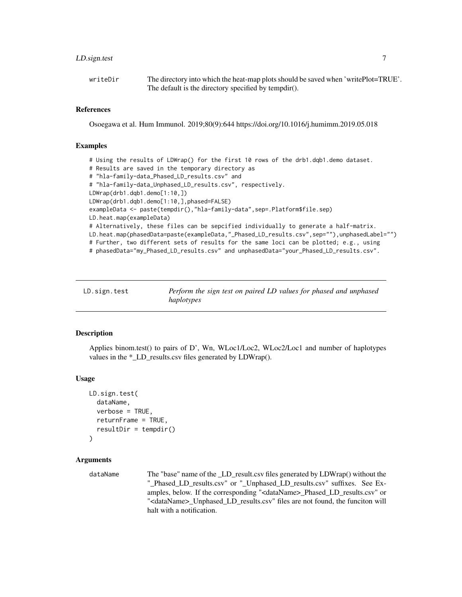#### <span id="page-6-0"></span>LD.sign.test 7

| writeDir | The directory into which the heat-map plots should be saved when 'writePlot=TRUE'. |
|----------|------------------------------------------------------------------------------------|
|          | The default is the directory specified by tempdir().                               |

#### References

Osoegawa et al. Hum Immunol. 2019;80(9):644 https://doi.org/10.1016/j.humimm.2019.05.018

#### Examples

```
# Using the results of LDWrap() for the first 10 rows of the drb1.dqb1.demo dataset.
# Results are saved in the temporary directory as
# "hla-family-data_Phased_LD_results.csv" and
# "hla-family-data_Unphased_LD_results.csv", respectively.
LDWrap(drb1.dqb1.demo[1:10,])
LDWrap(drb1.dqb1.demo[1:10,],phased=FALSE)
exampleData <- paste(tempdir(),"hla-family-data",sep=.Platform$file.sep)
LD.heat.map(exampleData)
# Alternatively, these files can be sepcified individually to generate a half-matrix.
LD.heat.map(phasedData=paste(exampleData,"_Phased_LD_results.csv",sep=""),unphasedLabel="")
# Further, two different sets of results for the same loci can be plotted; e.g., using
# phasedData="my_Phased_LD_results.csv" and unphasedData="your_Phased_LD_results.csv".
```

| LD.sign.test | Perform the sign test on paired LD values for phased and unphased |
|--------------|-------------------------------------------------------------------|
|              | haplotypes                                                        |

#### Description

Applies binom.test() to pairs of D', Wn, WLoc1/Loc2, WLoc2/Loc1 and number of haplotypes values in the \*\_LD\_results.csv files generated by LDWrap().

#### Usage

```
LD.sign.test(
  dataName,
  verbose = TRUE,
  returnFrame = TRUE,
  resultDir = template())
```
#### Arguments

dataName The "base" name of the \_LD\_result.csv files generated by LDWrap() without the " Phased LD results.csv" or "\_Unphased LD\_results.csv" suffixes. See Examples, below. If the corresponding "<dataName>\_Phased\_LD\_results.csv" or "<dataName>\_Unphased\_LD\_results.csv" files are not found, the funciton will halt with a notification.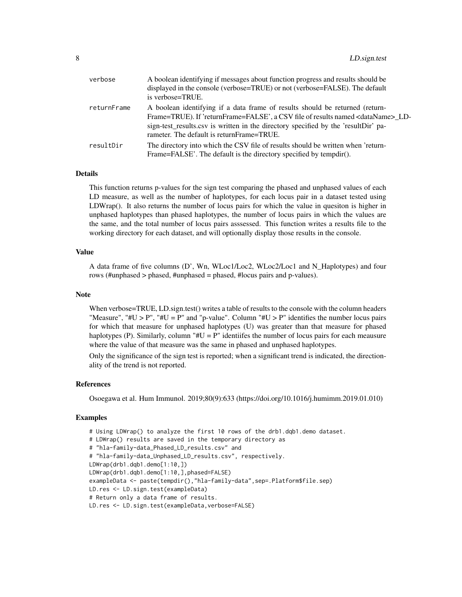| verbose     | A boolean identifying if messages about function progress and results should be<br>displayed in the console (verbose=TRUE) or not (verbose=FALSE). The default<br>is verbose=TRUE.                                                                                                                              |
|-------------|-----------------------------------------------------------------------------------------------------------------------------------------------------------------------------------------------------------------------------------------------------------------------------------------------------------------|
| returnFrame | A boolean identifying if a data frame of results should be returned (return-<br>Frame=TRUE). If 'returnFrame=FALSE', a CSV file of results named <dataname> LD-<br/>sign-test_results.csv is written in the directory specified by the 'resultDir' pa-<br/>rameter. The default is returnFrame=TRUE.</dataname> |
| resultDir   | The directory into which the CSV file of results should be written when 'return-<br>Frame=FALSE'. The default is the directory specified by tempdir().                                                                                                                                                          |

#### Details

This function returns p-values for the sign test comparing the phased and unphased values of each LD measure, as well as the number of haplotypes, for each locus pair in a dataset tested using LDWrap(). It also returns the number of locus pairs for which the value in quesiton is higher in unphased haplotypes than phased haplotypes, the number of locus pairs in which the values are the same, and the total number of locus pairs asssessed. This function writes a results file to the working directory for each dataset, and will optionally display those results in the console.

#### Value

A data frame of five columns (D', Wn, WLoc1/Loc2, WLoc2/Loc1 and N\_Haplotypes) and four rows (#unphased > phased, #unphased = phased, #locus pairs and p-values).

#### **Note**

When verbose=TRUE, LD.sign.test() writes a table of results to the console with the column headers "Measure", "#U > P", "#U = P" and "p-value". Column "#U > P" identifies the number locus pairs for which that measure for unphased haplotypes (U) was greater than that measure for phased haplotypes (P). Similarly, column " $\#U = P$ " identifies the number of locus pairs for each meausure where the value of that measure was the same in phased and unphased haplotypes.

Only the significance of the sign test is reported; when a significant trend is indicated, the directionality of the trend is not reported.

#### References

Osoegawa et al. Hum Immunol. 2019;80(9):633 (https://doi.org/10.1016/j.humimm.2019.01.010)

#### Examples

```
# Using LDWrap() to analyze the first 10 rows of the drb1.dqb1.demo dataset.
# LDWrap() results are saved in the temporary directory as
# "hla-family-data_Phased_LD_results.csv" and
# "hla-family-data_Unphased_LD_results.csv", respectively.
LDWrap(drb1.dqb1.demo[1:10,])
LDWrap(drb1.dqb1.demo[1:10,],phased=FALSE)
exampleData <- paste(tempdir(),"hla-family-data",sep=.Platform$file.sep)
LD.res <- LD.sign.test(exampleData)
# Return only a data frame of results.
LD.res <- LD.sign.test(exampleData, verbose=FALSE)
```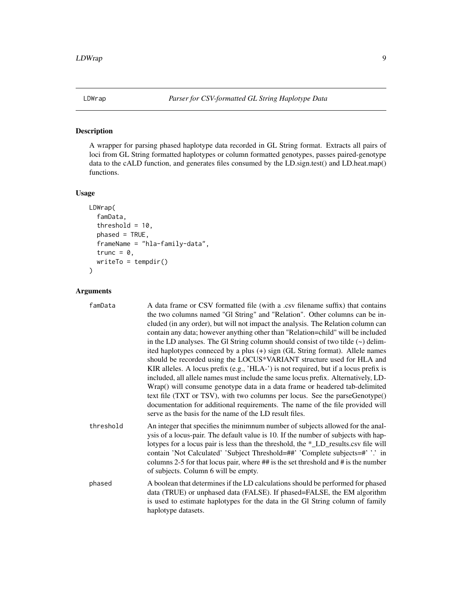<span id="page-8-0"></span>

A wrapper for parsing phased haplotype data recorded in GL String format. Extracts all pairs of loci from GL String formatted haplotypes or column formatted genotypes, passes paired-genotype data to the cALD function, and generates files consumed by the LD.sign.test() and LD.heat.map() functions.

#### Usage

```
LDWrap(
  famData,
  threshold = 10,
  phased = TRUE,
  frameName = "hla-family-data",
  trunc = 0,
  writeTo = tempdir()
```
)

#### Arguments

| famData   | A data frame or CSV formatted file (with a .csv filename suffix) that contains<br>the two columns named "GI String" and "Relation". Other columns can be in-<br>cluded (in any order), but will not impact the analysis. The Relation column can<br>contain any data; however anything other than "Relation=child" will be included<br>in the LD analyses. The Gl String column should consist of two tilde $(\sim)$ delim-<br>ited haplotypes conneced by a plus (+) sign (GL String format). Allele names<br>should be recorded using the LOCUS*VARIANT structure used for HLA and<br>KIR alleles. A locus prefix (e.g., 'HLA-') is not required, but if a locus prefix is<br>included, all allele names must include the same locus prefix. Alternatively, LD-<br>Wrap() will consume genotype data in a data frame or headered tab-delimited<br>text file (TXT or TSV), with two columns per locus. See the parseGenotype()<br>documentation for additional requirements. The name of the file provided will<br>serve as the basis for the name of the LD result files. |
|-----------|-----------------------------------------------------------------------------------------------------------------------------------------------------------------------------------------------------------------------------------------------------------------------------------------------------------------------------------------------------------------------------------------------------------------------------------------------------------------------------------------------------------------------------------------------------------------------------------------------------------------------------------------------------------------------------------------------------------------------------------------------------------------------------------------------------------------------------------------------------------------------------------------------------------------------------------------------------------------------------------------------------------------------------------------------------------------------------|
| threshold | An integer that specifies the minimnum number of subjects allowed for the anal-<br>ysis of a locus-pair. The default value is 10. If the number of subjects with hap-<br>lotypes for a locus pair is less than the threshold, the *_LD_results.csv file will<br>contain 'Not Calculated' 'Subject Threshold=##' 'Complete subjects=#' '.' in<br>columns 2-5 for that locus pair, where $\#$ is the set threshold and $\#$ is the number<br>of subjects. Column 6 will be empty.                                                                                                                                                                                                                                                                                                                                                                                                                                                                                                                                                                                             |
| phased    | A boolean that determines if the LD calculations should be performed for phased<br>data (TRUE) or unphased data (FALSE). If phased=FALSE, the EM algorithm<br>is used to estimate haplotypes for the data in the Gl String column of family<br>haplotype datasets.                                                                                                                                                                                                                                                                                                                                                                                                                                                                                                                                                                                                                                                                                                                                                                                                          |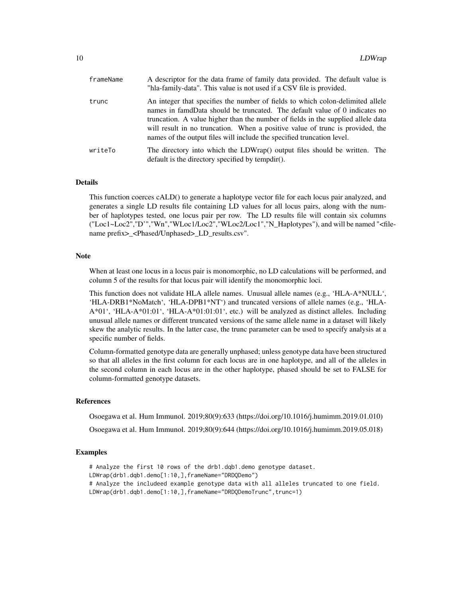| frameName | A descriptor for the data frame of family data provided. The default value is<br>"hla-family-data". This value is not used if a CSV file is provided.                                                                                                                                                                                                                                                       |
|-----------|-------------------------------------------------------------------------------------------------------------------------------------------------------------------------------------------------------------------------------------------------------------------------------------------------------------------------------------------------------------------------------------------------------------|
| trunc     | An integer that specifies the number of fields to which colon-delimited allele<br>names in famdData should be truncated. The default value of 0 indicates no<br>truncation. A value higher than the number of fields in the supplied allele data<br>will result in no truncation. When a positive value of trunc is provided, the<br>names of the output files will include the specified truncation level. |
| writeTo   | The directory into which the LDWrap() output files should be written. The<br>default is the directory specified by tempdir().                                                                                                                                                                                                                                                                               |

#### Details

This function coerces cALD() to generate a haplotype vector file for each locus pair analyzed, and generates a single LD results file containing LD values for all locus pairs, along with the number of haplotypes tested, one locus pair per row. The LD results file will contain six columns ("Loc1~Loc2","D'","Wn","WLoc1/Loc2","WLoc2/Loc1","N\_Haplotypes"), and will be named "<filename prefix> <Phased/Unphased> LD\_results.csv".

#### Note

When at least one locus in a locus pair is monomorphic, no LD calculations will be performed, and column 5 of the results for that locus pair will identify the monomorphic loci.

This function does not validate HLA allele names. Unusual allele names (e.g., 'HLA-A\*NULL', 'HLA-DRB1\*NoMatch', 'HLA-DPB1\*NT') and truncated versions of allele names (e.g., 'HLA-A\*01', 'HLA-A\*01:01', 'HLA-A\*01:01:01', etc.) will be analyzed as distinct alleles. Including unusual allele names or different truncated versions of the same allele name in a dataset will likely skew the analytic results. In the latter case, the trunc parameter can be used to specify analysis at a specific number of fields.

Column-formatted genotype data are generally unphased; unless genotype data have been structured so that all alleles in the first column for each locus are in one haplotype, and all of the alleles in the second column in each locus are in the other haplotype, phased should be set to FALSE for column-formatted genotype datasets.

#### References

Osoegawa et al. Hum Immunol. 2019;80(9):633 (https://doi.org/10.1016/j.humimm.2019.01.010)

Osoegawa et al. Hum Immunol. 2019;80(9):644 (https://doi.org/10.1016/j.humimm.2019.05.018)

#### Examples

```
# Analyze the first 10 rows of the drb1.dqb1.demo genotype dataset.
LDWrap(drb1.dqb1.demo[1:10,],frameName="DRDQDemo")
# Analyze the includeed example genotype data with all alleles truncated to one field.
LDWrap(drb1.dqb1.demo[1:10,],frameName="DRDQDemoTrunc",trunc=1)
```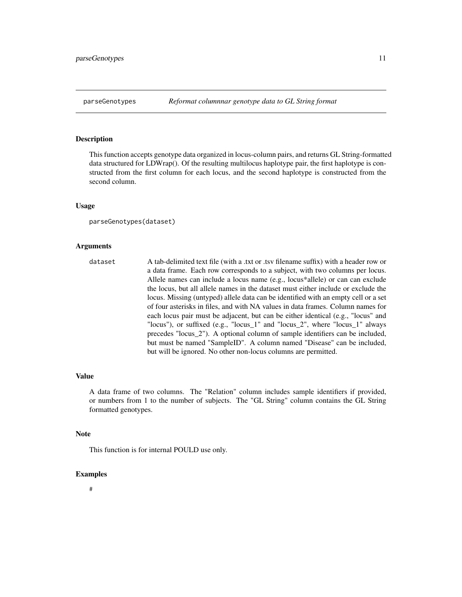<span id="page-10-0"></span>This function accepts genotype data organized in locus-column pairs, and returns GL String-formatted data structured for LDWrap(). Of the resulting multilocus haplotype pair, the first haplotype is constructed from the first column for each locus, and the second haplotype is constructed from the second column.

#### Usage

```
parseGenotypes(dataset)
```
#### Arguments

dataset A tab-delimited text file (with a .txt or .tsv filename suffix) with a header row or a data frame. Each row corresponds to a subject, with two columns per locus. Allele names can include a locus name (e.g., locus\*allele) or can can exclude the locus, but all allele names in the dataset must either include or exclude the locus. Missing (untyped) allele data can be identified with an empty cell or a set of four asterisks in files, and with NA values in data frames. Column names for each locus pair must be adjacent, but can be either identical (e.g., "locus" and "locus"), or suffixed (e.g., "locus\_1" and "locus\_2", where "locus\_1" always precedes "locus\_2"). A optional column of sample identifiers can be included, but must be named "SampleID". A column named "Disease" can be included, but will be ignored. No other non-locus columns are permitted.

#### Value

A data frame of two columns. The "Relation" column includes sample identifiers if provided, or numbers from 1 to the number of subjects. The "GL String" column contains the GL String formatted genotypes.

#### **Note**

This function is for internal POULD use only.

#### Examples

#### #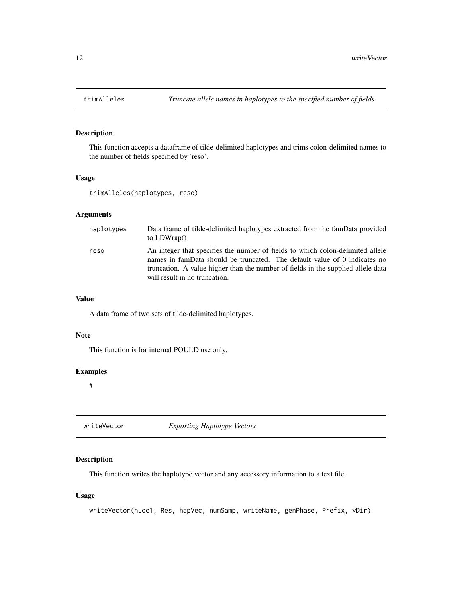<span id="page-11-0"></span>

This function accepts a dataframe of tilde-delimited haplotypes and trims colon-delimited names to the number of fields specified by 'reso'.

#### Usage

```
trimAlleles(haplotypes, reso)
```
#### Arguments

| haplotypes | Data frame of tilde-delimited haplotypes extracted from the famData provided<br>to $LDWrap()$                                                                                                                                                                                    |
|------------|----------------------------------------------------------------------------------------------------------------------------------------------------------------------------------------------------------------------------------------------------------------------------------|
| reso       | An integer that specifies the number of fields to which colon-delimited allele<br>names in famData should be truncated. The default value of 0 indicates no<br>truncation. A value higher than the number of fields in the supplied allele data<br>will result in no truncation. |

#### Value

A data frame of two sets of tilde-delimited haplotypes.

#### Note

This function is for internal POULD use only.

#### Examples

#

writeVector *Exporting Haplotype Vectors*

#### Description

This function writes the haplotype vector and any accessory information to a text file.

#### Usage

```
writeVector(nLoc1, Res, hapVec, numSamp, writeName, genPhase, Prefix, vDir)
```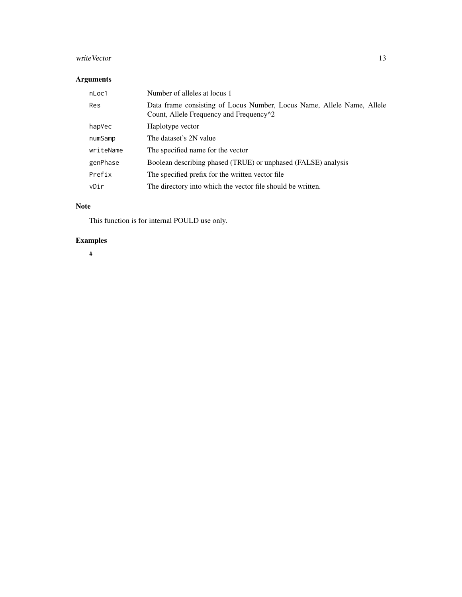# writeVector 13

### Arguments

| nLoc1     | Number of alleles at locus 1                                                                                                   |
|-----------|--------------------------------------------------------------------------------------------------------------------------------|
| Res       | Data frame consisting of Locus Number, Locus Name, Allele Name, Allele<br>Count, Allele Frequency and Frequency <sup>1</sup> 2 |
| hapVec    | Haplotype vector                                                                                                               |
| numSamp   | The dataset's 2N value                                                                                                         |
| writeName | The specified name for the vector                                                                                              |
| genPhase  | Boolean describing phased (TRUE) or unphased (FALSE) analysis                                                                  |
| Prefix    | The specified prefix for the written vector file.                                                                              |
| vDir      | The directory into which the vector file should be written.                                                                    |

### Note

This function is for internal POULD use only.

# Examples

#